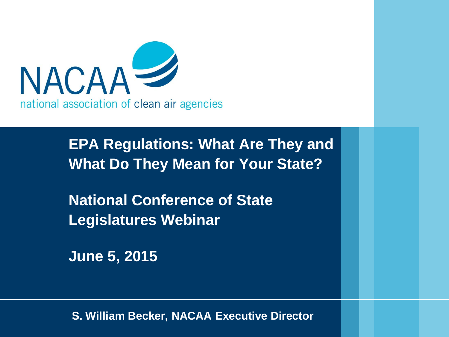

**EPA Regulations: What Are They and What Do They Mean for Your State?**

**National Conference of State Legislatures Webinar**

**June 5, 2015** 

**S. William Becker, NACAA Executive Director**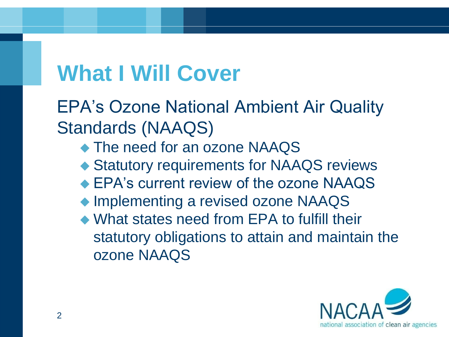## **What I Will Cover**

EPA's Ozone National Ambient Air Quality Standards (NAAQS)

- ◆ The need for an ozone NAAQS
- Statutory requirements for NAAQS reviews
- ◆ EPA's current review of the ozone NAAQS
- ◆ Implementing a revised ozone NAAQS
- What states need from EPA to fulfill their statutory obligations to attain and maintain the ozone NAAQS

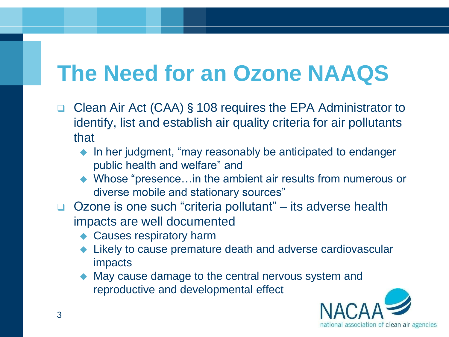# **The Need for an Ozone NAAQS**

- □ Clean Air Act (CAA) § 108 requires the EPA Administrator to identify, list and establish air quality criteria for air pollutants that
	- $\bullet$  In her judgment, "may reasonably be anticipated to endanger public health and welfare" and
	- ◆ Whose "presence...in the ambient air results from numerous or diverse mobile and stationary sources"
- □ Ozone is one such "criteria pollutant" its adverse health impacts are well documented
	- ◆ Causes respiratory harm
	- Likely to cause premature death and adverse cardiovascular impacts
	- May cause damage to the central nervous system and reproductive and developmental effect

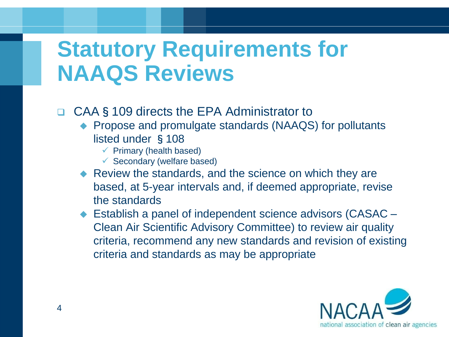### **Statutory Requirements for NAAQS Reviews**

- □ CAA§109 directs the EPA Administrator to
	- ◆ Propose and promulgate standards (NAAQS) for pollutants listed under §108
		- $\checkmark$  Primary (health based)
		- $\checkmark$  Secondary (welfare based)
	- Review the standards, and the science on which they are based, at 5-year intervals and, if deemed appropriate, revise the standards
	- ◆ Establish a panel of independent science advisors (CASAC Clean Air Scientific Advisory Committee) to review air quality criteria, recommend any new standards and revision of existing criteria and standards as may be appropriate

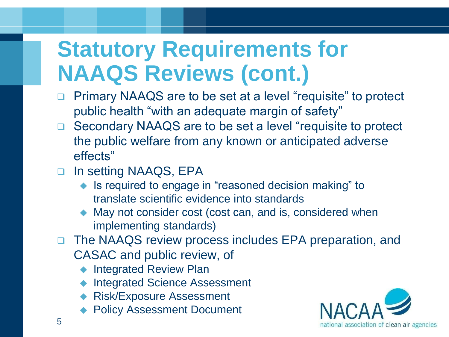# **Statutory Requirements for NAAQS Reviews (cont.)**

- □ Primary NAAQS are to be set at a level "requisite" to protect public health "with an adequate margin of safety"
- □ Secondary NAAQS are to be set a level "requisite to protect the public welfare from any known or anticipated adverse effects"
- □ In setting NAAQS, EPA
	- Is required to engage in "reasoned decision making" to translate scientific evidence into standards
	- ◆ May not consider cost (cost can, and is, considered when implementing standards)
- □ The NAAQS review process includes EPA preparation, and CASAC and public review, of
	- ◆ Integrated Review Plan
	- Integrated Science Assessment
	- ◆ Risk/Exposure Assessment
	- ◆ Policy Assessment Document

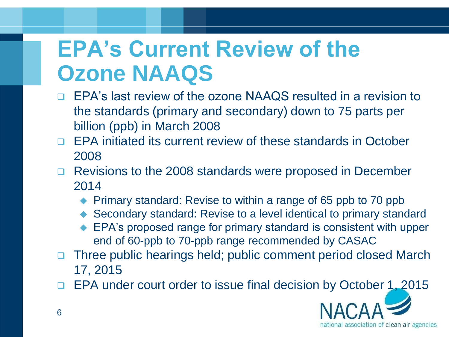# **EPA's Current Review of the Ozone NAAQS**

- □ EPA's last review of the ozone NAAQS resulted in a revision to the standards (primary and secondary) down to 75 parts per billion (ppb) in March 2008
- □ EPA initiated its current review of these standards in October 2008
- □ Revisions to the 2008 standards were proposed in December 2014
	- ◆ Primary standard: Revise to within a range of 65 ppb to 70 ppb
	- Secondary standard: Revise to a level identical to primary standard
	- EPA's proposed range for primary standard is consistent with upper end of 60-ppb to 70-ppb range recommended by CASAC
- □ Three public hearings held; public comment period closed March 17, 2015
- EPA under court order to issue final decision by October 1, 2015

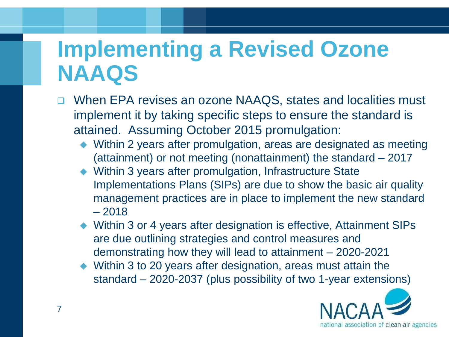### **Implementing a Revised Ozone NAAQS**

- When EPA revises an ozone NAAQS, states and localities must implement it by taking specific steps to ensure the standard is attained. Assuming October 2015 promulgation:
	- Within 2 years after promulgation, areas are designated as meeting (attainment) or not meeting (nonattainment) the standard – 2017
	- Within 3 years after promulgation, Infrastructure State Implementations Plans (SIPs) are due to show the basic air quality management practices are in place to implement the new standard  $-2018$
	- Within 3 or 4 years after designation is effective, Attainment SIPs are due outlining strategies and control measures and demonstrating how they will lead to attainment – 2020-2021
	- Within 3 to 20 years after designation, areas must attain the standard – 2020-2037 (plus possibility of two 1-year extensions)

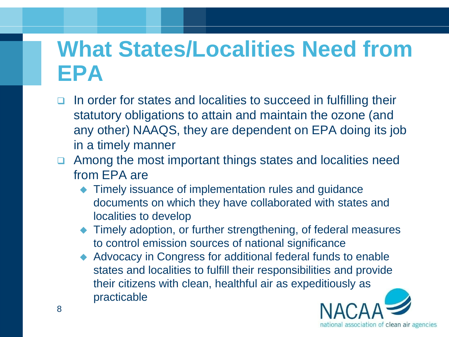### **What States/Localities Need from EPA**

- In order for states and localities to succeed in fulfilling their statutory obligations to attain and maintain the ozone (and any other) NAAQS, they are dependent on EPA doing its job in a timely manner
- □ Among the most important things states and localities need from EPA are
	- ◆ Timely issuance of implementation rules and guidance documents on which they have collaborated with states and localities to develop
	- ◆ Timely adoption, or further strengthening, of federal measures to control emission sources of national significance
	- ◆ Advocacy in Congress for additional federal funds to enable states and localities to fulfill their responsibilities and provide their citizens with clean, healthful air as expeditiously as practicable